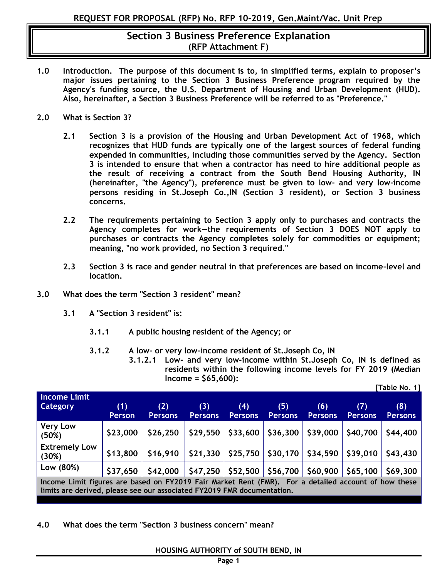- **1.0 Introduction. The purpose of this document is to, in simplified terms, explain to proposer's major issues pertaining to the Section 3 Business Preference program required by the Agency's funding source, the U.S. Department of Housing and Urban Development (HUD). Also, hereinafter, a Section 3 Business Preference will be referred to as "Preference."**
- **2.0 What is Section 3?** 
	- **2.1 Section 3 is a provision of the Housing and Urban Development Act of 1968, which recognizes that HUD funds are typically one of the largest sources of federal funding expended in communities, including those communities served by the Agency. Section 3 is intended to ensure that when a contractor has need to hire additional people as the result of receiving a contract from the South Bend Housing Authority, IN (hereinafter, "the Agency"), preference must be given to low- and very low-income persons residing in St.Joseph Co.,IN (Section 3 resident), or Section 3 business concerns.**
	- **2.2 The requirements pertaining to Section 3 apply only to purchases and contracts the Agency completes for work—the requirements of Section 3 DOES NOT apply to purchases or contracts the Agency completes solely for commodities or equipment; meaning, "no work provided, no Section 3 required."**
	- **2.3 Section 3 is race and gender neutral in that preferences are based on income-level and location.**
- **3.0 What does the term "Section 3 resident" mean?** 
	- **3.1 A "Section 3 resident" is:** 
		- **3.1.1 A public housing resident of the Agency; or**
		- **3.1.2 A low- or very low-income resident of St.Joseph Co, IN**
			- **3.1.2.1 Low- and very low-income within St.Joseph Co, IN is defined as residents within the following income levels for FY 2019 (Median Income = \$65,600): [Table No. 1]**

| <b>Income Limit</b>                                                                                                                                                             |               |                |                |                               |                                   |                |                                   |                |
|---------------------------------------------------------------------------------------------------------------------------------------------------------------------------------|---------------|----------------|----------------|-------------------------------|-----------------------------------|----------------|-----------------------------------|----------------|
| <b>Category</b>                                                                                                                                                                 | (1)           | (2)            | (3)            | (4)                           | (5)                               | (6)            | (7)                               | (8)            |
|                                                                                                                                                                                 | <b>Person</b> | <b>Persons</b> | <b>Persons</b> | <b>Persons</b>                | <b>Persons</b>                    | <b>Persons</b> | <b>Persons</b>                    | <b>Persons</b> |
| <b>Very Low</b><br>(50%)                                                                                                                                                        | \$23,000      | \$26,250       | \$29,550       | \$33,600                      | \$36,300                          | \$39,000       | \$40,700                          | \$44,400       |
| <b>Extremely Low</b><br>(30%)                                                                                                                                                   | \$13,800      | \$16,910       |                |                               | $$21,330$ $$25,750$ $$30,170$ $$$ | \$34,590       | $\vert$ \$39,010 $\vert$ \$43,430 |                |
| Low (80%)                                                                                                                                                                       | \$37,650      | \$42,000       |                | $$47,250$ $$52,500$ $$56,700$ |                                   | \$60,900       | $$65,100$                         | \$69,300       |
| Income Limit figures are based on FY2019 Fair Market Rent (FMR). For a detailed account of how these<br>limits are derived, please see our associated FY2019 FMR documentation. |               |                |                |                               |                                   |                |                                   |                |

**4.0 What does the term "Section 3 business concern" mean?**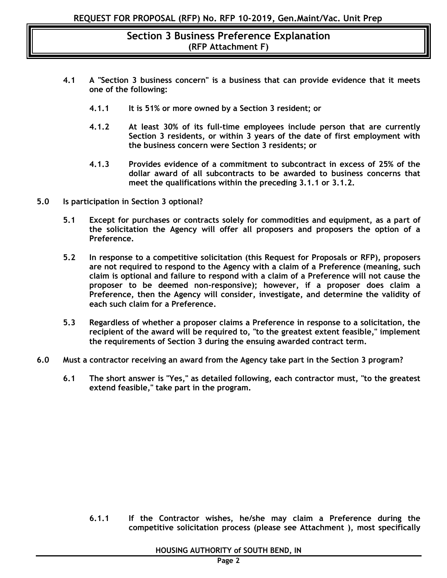- **4.1 A "Section 3 business concern" is a business that can provide evidence that it meets one of the following:**
	- **4.1.1 It is 51% or more owned by a Section 3 resident; or**
	- **4.1.2 At least 30% of its full-time employees include person that are currently Section 3 residents, or within 3 years of the date of first employment with the business concern were Section 3 residents; or**
	- **4.1.3 Provides evidence of a commitment to subcontract in excess of 25% of the dollar award of all subcontracts to be awarded to business concerns that meet the qualifications within the preceding 3.1.1 or 3.1.2.**
- **5.0 Is participation in Section 3 optional?** 
	- **5.1 Except for purchases or contracts solely for commodities and equipment, as a part of the solicitation the Agency will offer all proposers and proposers the option of a Preference.**
	- **5.2 In response to a competitive solicitation (this Request for Proposals or RFP), proposers are not required to respond to the Agency with a claim of a Preference (meaning, such claim is optional and failure to respond with a claim of a Preference will not cause the proposer to be deemed non-responsive); however, if a proposer does claim a Preference, then the Agency will consider, investigate, and determine the validity of each such claim for a Preference.**
	- **5.3 Regardless of whether a proposer claims a Preference in response to a solicitation, the recipient of the award will be required to, "to the greatest extent feasible," implement the requirements of Section 3 during the ensuing awarded contract term.**
- **6.0 Must a contractor receiving an award from the Agency take part in the Section 3 program?**
	- **6.1 The short answer is "Yes," as detailed following, each contractor must, "to the greatest extend feasible," take part in the program.**

**6.1.1 If the Contractor wishes, he/she may claim a Preference during the competitive solicitation process (please see Attachment ), most specifically**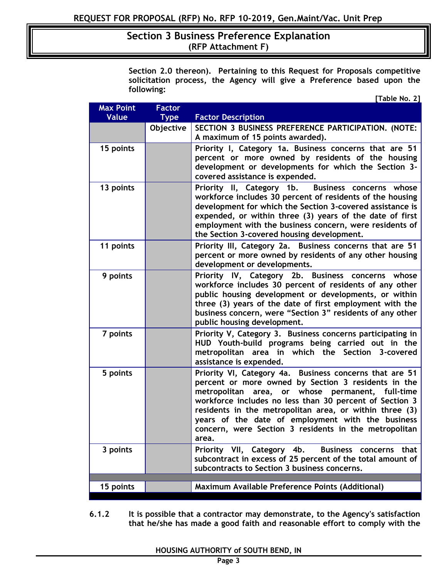**Section 2.0 thereon). Pertaining to this Request for Proposals competitive solicitation process, the Agency will give a Preference based upon the following:** 

| <b>Max Point</b> | <b>Factor</b> |                                                                                                                       |
|------------------|---------------|-----------------------------------------------------------------------------------------------------------------------|
| <b>Value</b>     | <b>Type</b>   | <b>Factor Description</b>                                                                                             |
|                  | Objective     | SECTION 3 BUSINESS PREFERENCE PARTICIPATION. (NOTE:<br>A maximum of 15 points awarded).                               |
|                  |               |                                                                                                                       |
| 15 points        |               | Priority I, Category 1a. Business concerns that are 51<br>percent or more owned by residents of the housing           |
|                  |               | development or developments for which the Section 3-                                                                  |
|                  |               | covered assistance is expended.                                                                                       |
| 13 points        |               | Priority II, Category 1b. Business concerns whose                                                                     |
|                  |               | workforce includes 30 percent of residents of the housing                                                             |
|                  |               | development for which the Section 3-covered assistance is<br>expended, or within three (3) years of the date of first |
|                  |               | employment with the business concern, were residents of                                                               |
|                  |               | the Section 3-covered housing development.                                                                            |
| 11 points        |               | Priority III, Category 2a. Business concerns that are 51                                                              |
|                  |               | percent or more owned by residents of any other housing                                                               |
|                  |               | development or developments.                                                                                          |
| 9 points         |               | Priority IV, Category 2b. Business concerns whose<br>workforce includes 30 percent of residents of any other          |
|                  |               | public housing development or developments, or within                                                                 |
|                  |               | three (3) years of the date of first employment with the                                                              |
|                  |               | business concern, were "Section 3" residents of any other                                                             |
|                  |               | public housing development.                                                                                           |
| 7 points         |               | Priority V, Category 3. Business concerns participating in<br>HUD Youth-build programs being carried out in the       |
|                  |               | metropolitan area in which the Section 3-covered                                                                      |
|                  |               | assistance is expended.                                                                                               |
| 5 points         |               | Priority VI, Category 4a. Business concerns that are 51                                                               |
|                  |               | percent or more owned by Section 3 residents in the<br>metropolitan area, or whose permanent, full-time               |
|                  |               | workforce includes no less than 30 percent of Section 3                                                               |
|                  |               | residents in the metropolitan area, or within three (3)                                                               |
|                  |               | years of the date of employment with the business                                                                     |
|                  |               | concern, were Section 3 residents in the metropolitan                                                                 |
| 3 points         |               | area.<br>Business concerns that                                                                                       |
|                  |               | Priority VII, Category 4b.<br>subcontract in excess of 25 percent of the total amount of                              |
|                  |               | subcontracts to Section 3 business concerns.                                                                          |
|                  |               |                                                                                                                       |
| 15 points        |               | Maximum Available Preference Points (Additional)                                                                      |

**6.1.2 It is possible that a contractor may demonstrate, to the Agency's satisfaction that he/she has made a good faith and reasonable effort to comply with the**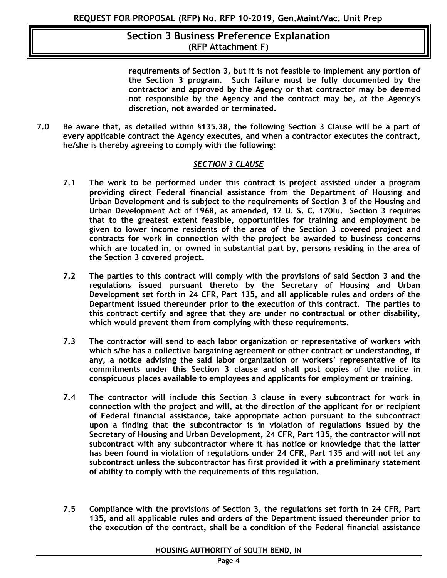**requirements of Section 3, but it is not feasible to implement any portion of the Section 3 program. Such failure must be fully documented by the contractor and approved by the Agency or that contractor may be deemed not responsible by the Agency and the contract may be, at the Agency's discretion, not awarded or terminated.**

**7.0 Be aware that, as detailed within** §**135.38, the following Section 3 Clause will be a part of every applicable contract the Agency executes, and when a contractor executes the contract, he/she is thereby agreeing to comply with the following:**

#### *SECTION 3 CLAUSE*

- **7.1 The work to be performed under this contract is project assisted under a program providing direct Federal financial assistance from the Department of Housing and Urban Development and is subject to the requirements of Section 3 of the Housing and Urban Development Act of 1968, as amended, 12 U. S. C. 170lu. Section 3 requires that to the greatest extent feasible, opportunities for training and employment be given to lower income residents of the area of the Section 3 covered project and contracts for work in connection with the project be awarded to business concerns which are located in, or owned in substantial part by, persons residing in the area of the Section 3 covered project.**
- **7.2 The parties to this contract will comply with the provisions of said Section 3 and the regulations issued pursuant thereto by the Secretary of Housing and Urban Development set forth in 24 CFR, Part 135, and all applicable rules and orders of the Department issued thereunder prior to the execution of this contract. The parties to this contract certify and agree that they are under no contractual or other disability, which would prevent them from complying with these requirements.**
- **7.3 The contractor will send to each labor organization or representative of workers with which s/he has a collective bargaining agreement or other contract or understanding, if any, a notice advising the said labor organization or workers' representative of its commitments under this Section 3 clause and shall post copies of the notice in conspicuous places available to employees and applicants for employment or training.**
- **7.4 The contractor will include this Section 3 clause in every subcontract for work in connection with the project and will, at the direction of the applicant for or recipient of Federal financial assistance, take appropriate action pursuant to the subcontract upon a finding that the subcontractor is in violation of regulations issued by the Secretary of Housing and Urban Development, 24 CFR, Part 135, the contractor will not subcontract with any subcontractor where it has notice or knowledge that the latter has been found in violation of regulations under 24 CFR, Part 135 and will not let any subcontract unless the subcontractor has first provided it with a preliminary statement of ability to comply with the requirements of this regulation.**
- **7.5 Compliance with the provisions of Section 3, the regulations set forth in 24 CFR, Part 135, and all applicable rules and orders of the Department issued thereunder prior to the execution of the contract, shall be a condition of the Federal financial assistance**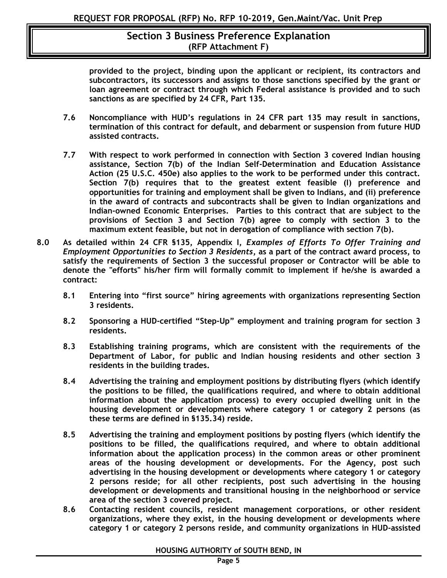**provided to the project, binding upon the applicant or recipient, its contractors and subcontractors, its successors and assigns to those sanctions specified by the grant or loan agreement or contract through which Federal assistance is provided and to such sanctions as are specified by 24 CFR, Part 135.**

- **7.6 Noncompliance with HUD's regulations in 24 CFR part 135 may result in sanctions, termination of this contract for default, and debarment or suspension from future HUD assisted contracts.**
- **7.7 With respect to work performed in connection with Section 3 covered Indian housing assistance, Section 7(b) of the Indian Self-Determination and Education Assistance Action (25 U.S.C. 450e) also applies to the work to be performed under this contract. Section 7(b) requires that to the greatest extent feasible (I) preference and opportunities for training and employment shall be given to Indians, and (ii) preference in the award of contracts and subcontracts shall be given to Indian organizations and Indian-owned Economic Enterprises. Parties to this contract that are subject to the provisions of Section 3 and Section 7(b) agree to comply with section 3 to the maximum extent feasible, but not in derogation of compliance with section 7(b).**
- **8.0 As detailed within 24 CFR §135, Appendix I,** *Examples of Efforts To Offer Training and Employment Opportunities to Section 3 Residents***, as a part of the contract award process, to satisfy the requirements of Section 3 the successful proposer or Contractor will be able to denote the "efforts" his/her firm will formally commit to implement if he/she is awarded a contract:**
	- **8.1 Entering into "first source" hiring agreements with organizations representing Section 3 residents.**
	- **8.2 Sponsoring a HUD-certified "Step-Up" employment and training program for section 3 residents.**
	- **8.3 Establishing training programs, which are consistent with the requirements of the Department of Labor, for public and Indian housing residents and other section 3 residents in the building trades.**
	- **8.4 Advertising the training and employment positions by distributing flyers (which identify the positions to be filled, the qualifications required, and where to obtain additional information about the application process) to every occupied dwelling unit in the housing development or developments where category 1 or category 2 persons (as these terms are defined in §135.34) reside.**
	- **8.5 Advertising the training and employment positions by posting flyers (which identify the positions to be filled, the qualifications required, and where to obtain additional information about the application process) in the common areas or other prominent areas of the housing development or developments. For the Agency, post such advertising in the housing development or developments where category 1 or category 2 persons reside; for all other recipients, post such advertising in the housing development or developments and transitional housing in the neighborhood or service area of the section 3 covered project.**
	- **8.6 Contacting resident councils, resident management corporations, or other resident organizations, where they exist, in the housing development or developments where category 1 or category 2 persons reside, and community organizations in HUD-assisted**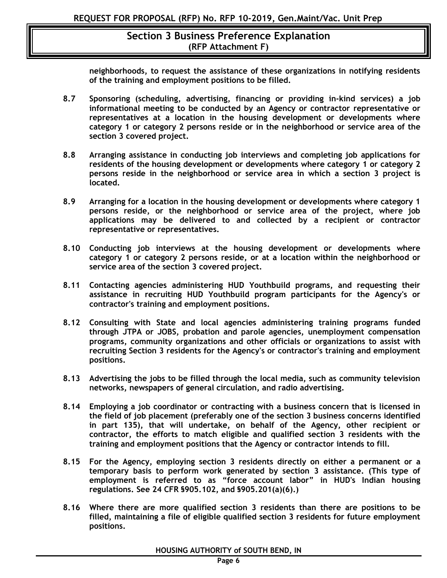**neighborhoods, to request the assistance of these organizations in notifying residents of the training and employment positions to be filled.**

- **8.7 Sponsoring (scheduling, advertising, financing or providing in-kind services) a job informational meeting to be conducted by an Agency or contractor representative or representatives at a location in the housing development or developments where category 1 or category 2 persons reside or in the neighborhood or service area of the section 3 covered project.**
- **8.8 Arranging assistance in conducting job interviews and completing job applications for residents of the housing development or developments where category 1 or category 2 persons reside in the neighborhood or service area in which a section 3 project is located.**
- **8.9 Arranging for a location in the housing development or developments where category 1 persons reside, or the neighborhood or service area of the project, where job applications may be delivered to and collected by a recipient or contractor representative or representatives.**
- **8.10 Conducting job interviews at the housing development or developments where category 1 or category 2 persons reside, or at a location within the neighborhood or service area of the section 3 covered project.**
- **8.11 Contacting agencies administering HUD Youthbuild programs, and requesting their assistance in recruiting HUD Youthbuild program participants for the Agency's or contractor's training and employment positions.**
- **8.12 Consulting with State and local agencies administering training programs funded through JTPA or JOBS, probation and parole agencies, unemployment compensation programs, community organizations and other officials or organizations to assist with recruiting Section 3 residents for the Agency's or contractor's training and employment positions.**
- **8.13 Advertising the jobs to be filled through the local media, such as community television networks, newspapers of general circulation, and radio advertising.**
- **8.14 Employing a job coordinator or contracting with a business concern that is licensed in the field of job placement (preferably one of the section 3 business concerns identified in part 135), that will undertake, on behalf of the Agency, other recipient or contractor, the efforts to match eligible and qualified section 3 residents with the training and employment positions that the Agency or contractor intends to fill.**
- **8.15 For the Agency, employing section 3 residents directly on either a permanent or a temporary basis to perform work generated by section 3 assistance. (This type of employment is referred to as "force account labor" in HUD's Indian housing regulations. See 24 CFR §905.102, and §905.201(a)(6).)**
- **8.16 Where there are more qualified section 3 residents than there are positions to be filled, maintaining a file of eligible qualified section 3 residents for future employment positions.**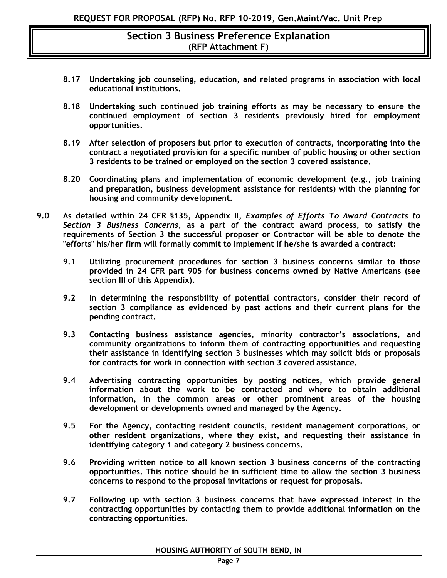- **8.17 Undertaking job counseling, education, and related programs in association with local educational institutions.**
- **8.18 Undertaking such continued job training efforts as may be necessary to ensure the continued employment of section 3 residents previously hired for employment opportunities.**
- **8.19 After selection of proposers but prior to execution of contracts, incorporating into the contract a negotiated provision for a specific number of public housing or other section 3 residents to be trained or employed on the section 3 covered assistance.**
- **8.20 Coordinating plans and implementation of economic development (e.g., job training and preparation, business development assistance for residents) with the planning for housing and community development.**
- **9.0 As detailed within 24 CFR §135, Appendix II,** *Examples of Efforts To Award Contracts to Section 3 Business Concerns,* **as a part of the contract award process, to satisfy the requirements of Section 3 the successful proposer or Contractor will be able to denote the "efforts" his/her firm will formally commit to implement if he/she is awarded a contract:**
	- **9.1 Utilizing procurement procedures for section 3 business concerns similar to those provided in 24 CFR part 905 for business concerns owned by Native Americans (see section III of this Appendix).**
	- **9.2 In determining the responsibility of potential contractors, consider their record of section 3 compliance as evidenced by past actions and their current plans for the pending contract.**
	- **9.3 Contacting business assistance agencies, minority contractor's associations, and community organizations to inform them of contracting opportunities and requesting their assistance in identifying section 3 businesses which may solicit bids or proposals for contracts for work in connection with section 3 covered assistance.**
	- **9.4 Advertising contracting opportunities by posting notices, which provide general information about the work to be contracted and where to obtain additional information, in the common areas or other prominent areas of the housing development or developments owned and managed by the Agency.**
	- **9.5 For the Agency, contacting resident councils, resident management corporations, or other resident organizations, where they exist, and requesting their assistance in identifying category 1 and category 2 business concerns.**
	- **9.6 Providing written notice to all known section 3 business concerns of the contracting opportunities. This notice should be in sufficient time to allow the section 3 business concerns to respond to the proposal invitations or request for proposals.**
	- **9.7 Following up with section 3 business concerns that have expressed interest in the contracting opportunities by contacting them to provide additional information on the contracting opportunities.**